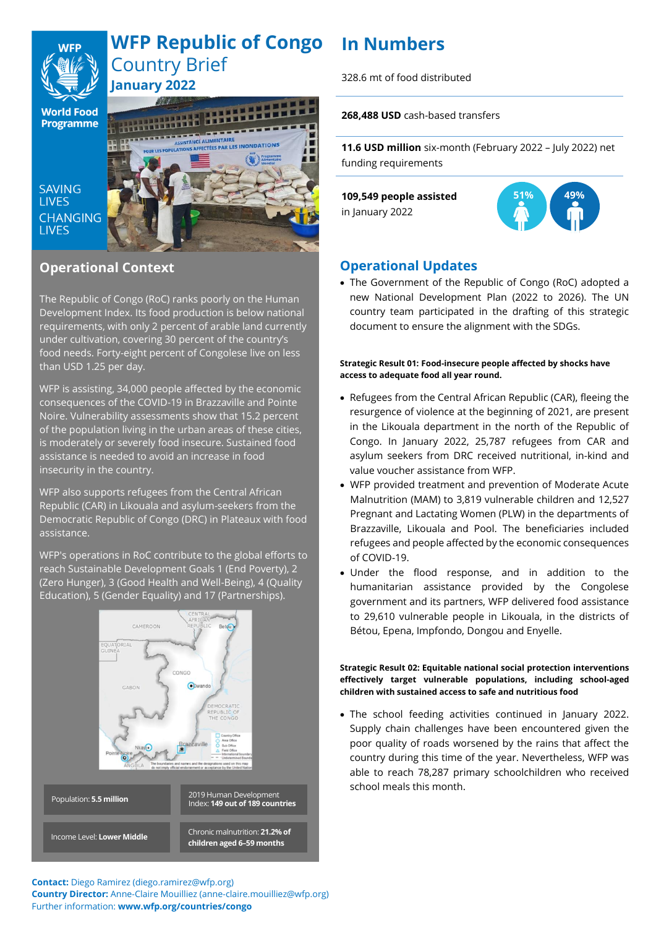

# **In Numbers WFP Republic of Congo** Country Brief **January 2022**

**World Food Programme** 

**SAVING LIVES CHANGING LIVES** 



# **Operational Context**

The Republic of Congo (RoC) ranks poorly on the Human Development Index. Its food production is below national requirements, with only 2 percent of arable land currently under cultivation, covering 30 percent of the country's food needs. Forty-eight percent of Congolese live on less than USD 1.25 per day.

WFP is assisting, 34,000 people affected by the economic consequences of the COVID-19 in Brazzaville and Pointe Noire. Vulnerability assessments show that 15.2 percent of the population living in the urban areas of these cities, is moderately or severely food insecure. Sustained food assistance is needed to avoid an increase in food insecurity in the country.

WFP also supports refugees from the Central African Republic (CAR) in Likouala and asylum-seekers from the Democratic Republic of Congo (DRC) in Plateaux with food assistance.

WFP's operations in RoC contribute to the global efforts to reach Sustainable Development Goals 1 (End Poverty), 2 (Zero Hunger), 3 (Good Health and Well-Being), 4 (Quality Education), 5 (Gender Equality) and 17 (Partnerships).



328.6 mt of food distributed

**268,488 USD** cash-based transfers

**11.6 USD million** six-month (February 2022 – July 2022) net funding requirements

**109,549 people assisted**

in January 2022



# **Operational Updates**

• The Government of the Republic of Congo (RoC) adopted a new National Development Plan (2022 to 2026). The UN country team participated in the drafting of this strategic document to ensure the alignment with the SDGs.

# **Strategic Result 01: Food-insecure people affected by shocks have access to adequate food all year round.**

- Refugees from the Central African Republic (CAR), fleeing the resurgence of violence at the beginning of 2021, are present in the Likouala department in the north of the Republic of Congo. In January 2022, 25,787 refugees from CAR and asylum seekers from DRC received nutritional, in-kind and value voucher assistance from WFP.
- WFP provided treatment and prevention of Moderate Acute Malnutrition (MAM) to 3,819 vulnerable children and 12,527 Pregnant and Lactating Women (PLW) in the departments of Brazzaville, Likouala and Pool. The beneficiaries included refugees and people affected by the economic consequences of COVID-19.
- Under the flood response, and in addition to the humanitarian assistance provided by the Congolese government and its partners, WFP delivered food assistance to 29,610 vulnerable people in Likouala, in the districts of Bétou, Epena, Impfondo, Dongou and Enyelle.

## **Strategic Result 02: Equitable national social protection interventions effectively target vulnerable populations, including school-aged children with sustained access to safe and nutritious food**

• The school feeding activities continued in January 2022. Supply chain challenges have been encountered given the poor quality of roads worsened by the rains that affect the country during this time of the year. Nevertheless, WFP was able to reach 78,287 primary schoolchildren who received school meals this month.

**Contact:** Diego Ramirez (diego.ramirez@wfp.org)

**Country Director:** Anne-Claire Mouilliez (anne-claire.mouilliez@wfp.org) Further information: **www.wfp.org/countries/congo**